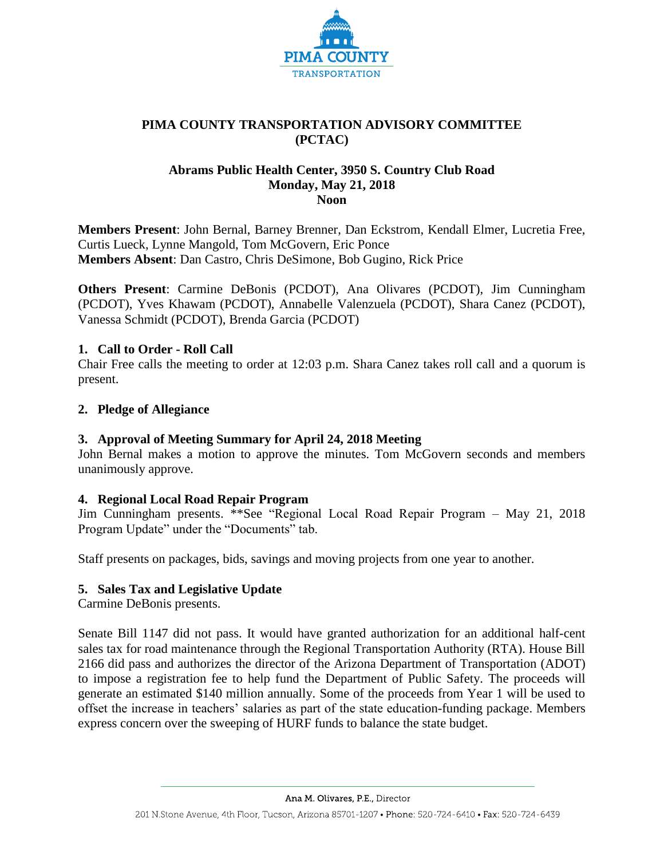

# **PIMA COUNTY TRANSPORTATION ADVISORY COMMITTEE (PCTAC)**

## **Abrams Public Health Center, 3950 S. Country Club Road Monday, May 21, 2018 Noon**

**Members Present**: John Bernal, Barney Brenner, Dan Eckstrom, Kendall Elmer, Lucretia Free, Curtis Lueck, Lynne Mangold, Tom McGovern, Eric Ponce **Members Absent**: Dan Castro, Chris DeSimone, Bob Gugino, Rick Price

**Others Present**: Carmine DeBonis (PCDOT), Ana Olivares (PCDOT), Jim Cunningham (PCDOT), Yves Khawam (PCDOT), Annabelle Valenzuela (PCDOT), Shara Canez (PCDOT), Vanessa Schmidt (PCDOT), Brenda Garcia (PCDOT)

## **1. Call to Order - Roll Call**

Chair Free calls the meeting to order at 12:03 p.m. Shara Canez takes roll call and a quorum is present.

## **2. Pledge of Allegiance**

## **3. Approval of Meeting Summary for April 24, 2018 Meeting**

John Bernal makes a motion to approve the minutes. Tom McGovern seconds and members unanimously approve.

## **4. Regional Local Road Repair Program**

Jim Cunningham presents. \*\*See "Regional Local Road Repair Program – May 21, 2018 Program Update" under the "Documents" tab.

Staff presents on packages, bids, savings and moving projects from one year to another.

# **5. Sales Tax and Legislative Update**

Carmine DeBonis presents.

Senate Bill 1147 did not pass. It would have granted authorization for an additional half-cent sales tax for road maintenance through the Regional Transportation Authority (RTA). House Bill 2166 did pass and authorizes the director of the Arizona Department of Transportation (ADOT) to impose a registration fee to help fund the Department of Public Safety. The proceeds will generate an estimated \$140 million annually. Some of the proceeds from Year 1 will be used to offset the increase in teachers' salaries as part of the state education-funding package. Members express concern over the sweeping of HURF funds to balance the state budget.